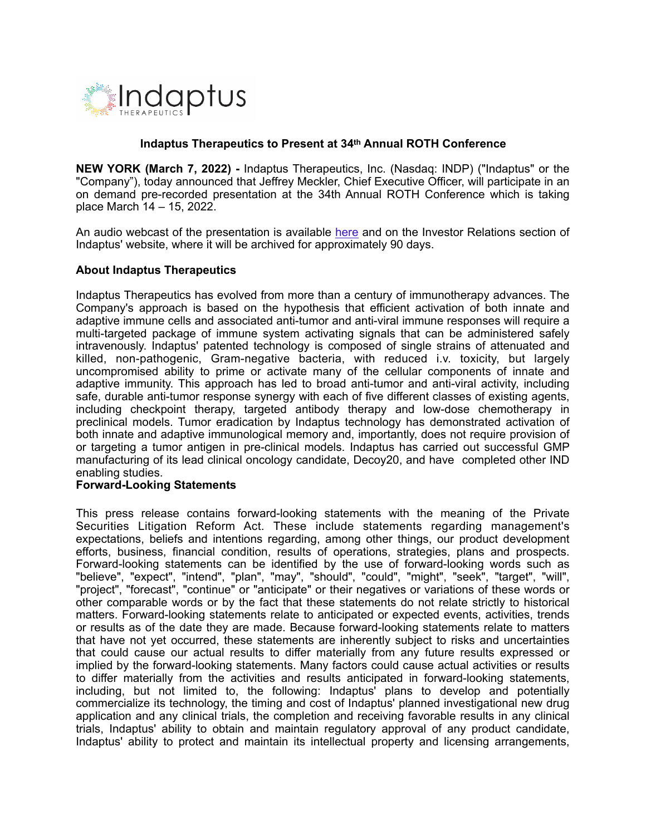

## **Indaptus Therapeutics to Present at 34th Annual ROTH Conference**

**NEW YORK (March 7, 2022) -** Indaptus Therapeutics, Inc. (Nasdaq: INDP) ("Indaptus" or the "Company"), today announced that Jeffrey Meckler, Chief Executive Officer, will participate in an on demand pre-recorded presentation at the 34th Annual ROTH Conference which is taking place March 14 – 15, 2022.

An audio webcast of the presentation is available [here](https://wsw.com/webcast/roth43/register.aspx?conf=roth43&page=indp&url=https://wsw.com/webcast/roth43/indp/1822892) and on the Investor Relations section of Indaptus' website, where it will be archived for approximately 90 days.

## **About Indaptus Therapeutics**

Indaptus Therapeutics has evolved from more than a century of immunotherapy advances. The Company's approach is based on the hypothesis that efficient activation of both innate and adaptive immune cells and associated anti-tumor and anti-viral immune responses will require a multi-targeted package of immune system activating signals that can be administered safely intravenously. Indaptus' patented technology is composed of single strains of attenuated and killed, non-pathogenic, Gram-negative bacteria, with reduced i.v. toxicity, but largely uncompromised ability to prime or activate many of the cellular components of innate and adaptive immunity. This approach has led to broad anti-tumor and anti-viral activity, including safe, durable anti-tumor response synergy with each of five different classes of existing agents, including checkpoint therapy, targeted antibody therapy and low-dose chemotherapy in preclinical models. Tumor eradication by Indaptus technology has demonstrated activation of both innate and adaptive immunological memory and, importantly, does not require provision of or targeting a tumor antigen in pre-clinical models. Indaptus has carried out successful GMP manufacturing of its lead clinical oncology candidate, Decoy20, and have completed other IND enabling studies.

## **Forward-Looking Statements**

This press release contains forward-looking statements with the meaning of the Private Securities Litigation Reform Act. These include statements regarding management's expectations, beliefs and intentions regarding, among other things, our product development efforts, business, financial condition, results of operations, strategies, plans and prospects. Forward-looking statements can be identified by the use of forward-looking words such as "believe", "expect", "intend", "plan", "may", "should", "could", "might", "seek", "target", "will", "project", "forecast", "continue" or "anticipate" or their negatives or variations of these words or other comparable words or by the fact that these statements do not relate strictly to historical matters. Forward-looking statements relate to anticipated or expected events, activities, trends or results as of the date they are made. Because forward-looking statements relate to matters that have not yet occurred, these statements are inherently subject to risks and uncertainties that could cause our actual results to differ materially from any future results expressed or implied by the forward-looking statements. Many factors could cause actual activities or results to differ materially from the activities and results anticipated in forward-looking statements, including, but not limited to, the following: Indaptus' plans to develop and potentially commercialize its technology, the timing and cost of Indaptus' planned investigational new drug application and any clinical trials, the completion and receiving favorable results in any clinical trials, Indaptus' ability to obtain and maintain regulatory approval of any product candidate, Indaptus' ability to protect and maintain its intellectual property and licensing arrangements,